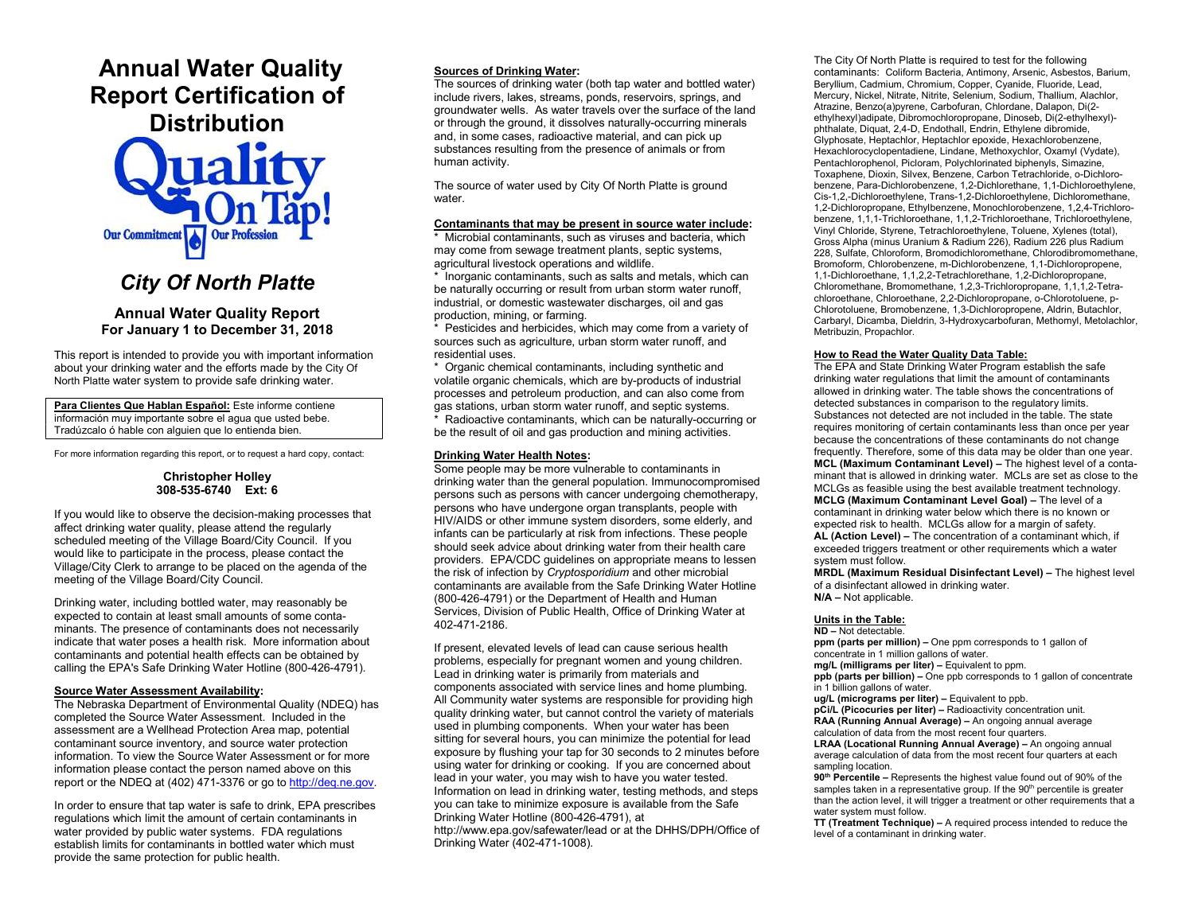# Annual Water Quality Report Certification of **Distribution**



## City Of North Platte

## Annual Water Quality Report For January 1 to December 31, 2018

This report is intended to provide you with important information about your drinking water and the efforts made by the City Of North Platte water system to provide safe drinking water.

Para Clientes Que Hablan Español: Este informe contiene información muy importante sobre el agua que usted bebe. Tradúzcalo ó hable con alguien que lo entienda bien.

For more information regarding this report, or to request a hard copy, contact:

## Christopher Holley 308-535-6740 Ext: 6

If you would like to observe the decision-making processes that affect drinking water quality, please attend the regularly scheduled meeting of the Village Board/City Council. If you would like to participate in the process, please contact the Village/City Clerk to arrange to be placed on the agenda of the meeting of the Village Board/City Council.

Drinking water, including bottled water, may reasonably be expected to contain at least small amounts of some contaminants. The presence of contaminants does not necessarily indicate that water poses a health risk. More information about contaminants and potential health effects can be obtained by calling the EPA's Safe Drinking Water Hotline (800-426-4791).

#### Source Water Assessment Availability:

The Nebraska Department of Environmental Quality (NDEQ) has completed the Source Water Assessment. Included in the assessment are a Wellhead Protection Area map, potential contaminant source inventory, and source water protection information. To view the Source Water Assessment or for more information please contact the person named above on this report or the NDEQ at (402) 471-3376 or go to http://deq.ne.gov.

In order to ensure that tap water is safe to drink, EPA prescribes regulations which limit the amount of certain contaminants in water provided by public water systems. FDA regulations establish limits for contaminants in bottled water which must provide the same protection for public health.

### Sources of Drinking Water:

The sources of drinking water (both tap water and bottled water) include rivers, lakes, streams, ponds, reservoirs, springs, and groundwater wells. As water travels over the surface of the land or through the ground, it dissolves naturally-occurring minerals and, in some cases, radioactive material, and can pick up substances resulting from the presence of animals or from human activity.

The source of water used by City Of North Platte is ground water.

#### Contaminants that may be present in source water include:

\* Microbial contaminants, such as viruses and bacteria, which may come from sewage treatment plants, septic systems, agricultural livestock operations and wildlife.

\* Inorganic contaminants, such as salts and metals, which can be naturally occurring or result from urban storm water runoff, industrial, or domestic wastewater discharges, oil and gas production, mining, or farming.

\* Pesticides and herbicides, which may come from a variety of sources such as agriculture, urban storm water runoff, and residential uses.

\* Organic chemical contaminants, including synthetic and volatile organic chemicals, which are by-products of industrial processes and petroleum production, and can also come from gas stations, urban storm water runoff, and septic systems. \* Radioactive contaminants, which can be naturally-occurring or be the result of oil and gas production and mining activities.

### Drinking Water Health Notes:

Some people may be more vulnerable to contaminants in drinking water than the general population. Immunocompromised persons such as persons with cancer undergoing chemotherapy, persons who have undergone organ transplants, people with HIV/AIDS or other immune system disorders, some elderly, and infants can be particularly at risk from infections. These people should seek advice about drinking water from their health care providers. EPA/CDC guidelines on appropriate means to lessen the risk of infection by Cryptosporidium and other microbial contaminants are available from the Safe Drinking Water Hotline (800-426-4791) or the Department of Health and Human Services, Division of Public Health, Office of Drinking Water at 402-471-2186.

If present, elevated levels of lead can cause serious health problems, especially for pregnant women and young children. Lead in drinking water is primarily from materials and components associated with service lines and home plumbing. All Community water systems are responsible for providing high quality drinking water, but cannot control the variety of materials used in plumbing components. When your water has been sitting for several hours, you can minimize the potential for lead exposure by flushing your tap for 30 seconds to 2 minutes before using water for drinking or cooking. If you are concerned about lead in your water, you may wish to have you water tested. Information on lead in drinking water, testing methods, and steps you can take to minimize exposure is available from the Safe Drinking Water Hotline (800-426-4791), at http://www.epa.gov/safewater/lead or at the DHHS/DPH/Office of Drinking Water (402-471-1008).

The City Of North Platte is required to test for the following contaminants: Coliform Bacteria, Antimony, Arsenic, Asbestos, Barium, Beryllium, Cadmium, Chromium, Copper, Cyanide, Fluoride, Lead, Mercury, Nickel, Nitrate, Nitrite, Selenium, Sodium, Thallium, Alachlor, Atrazine, Benzo(a)pyrene, Carbofuran, Chlordane, Dalapon, Di(2 ethylhexyl)adipate, Dibromochloropropane, Dinoseb, Di(2-ethylhexyl) phthalate, Diquat, 2,4-D, Endothall, Endrin, Ethylene dibromide, Glyphosate, Heptachlor, Heptachlor epoxide, Hexachlorobenzene, Hexachlorocyclopentadiene, Lindane, Methoxychlor, Oxamyl (Vydate), Pentachlorophenol, Picloram, Polychlorinated biphenyls, Simazine, Toxaphene, Dioxin, Silvex, Benzene, Carbon Tetrachloride, o-Dichlorobenzene, Para-Dichlorobenzene, 1,2-Dichlorethane, 1,1-Dichloroethylene, Cis-1,2,-Dichloroethylene, Trans-1,2-Dichloroethylene, Dichloromethane, 1,2-Dichloropropane, Ethylbenzene, Monochlorobenzene, 1,2,4-Trichlorobenzene, 1,1,1-Trichloroethane, 1,1,2-Trichloroethane, Trichloroethylene, Vinyl Chloride, Styrene, Tetrachloroethylene, Toluene, Xylenes (total), Gross Alpha (minus Uranium & Radium 226), Radium 226 plus Radium 228, Sulfate, Chloroform, Bromodichloromethane, Chlorodibromomethane, Bromoform, Chlorobenzene, m-Dichlorobenzene, 1,1-Dichloropropene, 1,1-Dichloroethane, 1,1,2,2-Tetrachlorethane, 1,2-Dichloropropane, Chloromethane, Bromomethane, 1,2,3-Trichloropropane, 1,1,1,2-Tetrachloroethane, Chloroethane, 2,2-Dichloropropane, o-Chlorotoluene, p-Chlorotoluene, Bromobenzene, 1,3-Dichloropropene, Aldrin, Butachlor, Carbaryl, Dicamba, Dieldrin, 3-Hydroxycarbofuran, Methomyl, Metolachlor, Metribuzin, Propachlor.

#### How to Read the Water Quality Data Table:

The EPA and State Drinking Water Program establish the safe drinking water regulations that limit the amount of contaminants allowed in drinking water. The table shows the concentrations of detected substances in comparison to the regulatory limits. Substances not detected are not included in the table. The state requires monitoring of certain contaminants less than once per year because the concentrations of these contaminants do not change frequently. Therefore, some of this data may be older than one year. MCL (Maximum Contaminant Level) – The highest level of a contaminant that is allowed in drinking water. MCLs are set as close to the MCLGs as feasible using the best available treatment technology. MCLG (Maximum Contaminant Level Goal) – The level of a contaminant in drinking water below which there is no known or expected risk to health. MCLGs allow for a margin of safety. AL (Action Level) – The concentration of a contaminant which, if exceeded triggers treatment or other requirements which a water system must follow.

MRDL (Maximum Residual Disinfectant Level) – The highest level of a disinfectant allowed in drinking water. N/A – Not applicable.

#### Units in the Table:

#### ND – Not detectable.

ppm (parts per million) – One ppm corresponds to 1 gallon of concentrate in 1 million gallons of water.

mg/L (milligrams per liter) – Equivalent to ppm.

ppb (parts per billion) – One ppb corresponds to 1 gallon of concentrate in 1 billion gallons of water.

ug/L (micrograms per liter) – Equivalent to ppb.

pCi/L (Picocuries per liter) – Radioactivity concentration unit. RAA (Running Annual Average) – An ongoing annual average

calculation of data from the most recent four quarters.

LRAA (Locational Running Annual Average) – An ongoing annual average calculation of data from the most recent four quarters at each sampling location.

90<sup>th</sup> Percentile – Represents the highest value found out of 90% of the samples taken in a representative group. If the 90<sup>th</sup> percentile is greater than the action level, it will trigger a treatment or other requirements that a water system must follow.

TT (Treatment Technique) – A required process intended to reduce the level of a contaminant in drinking water.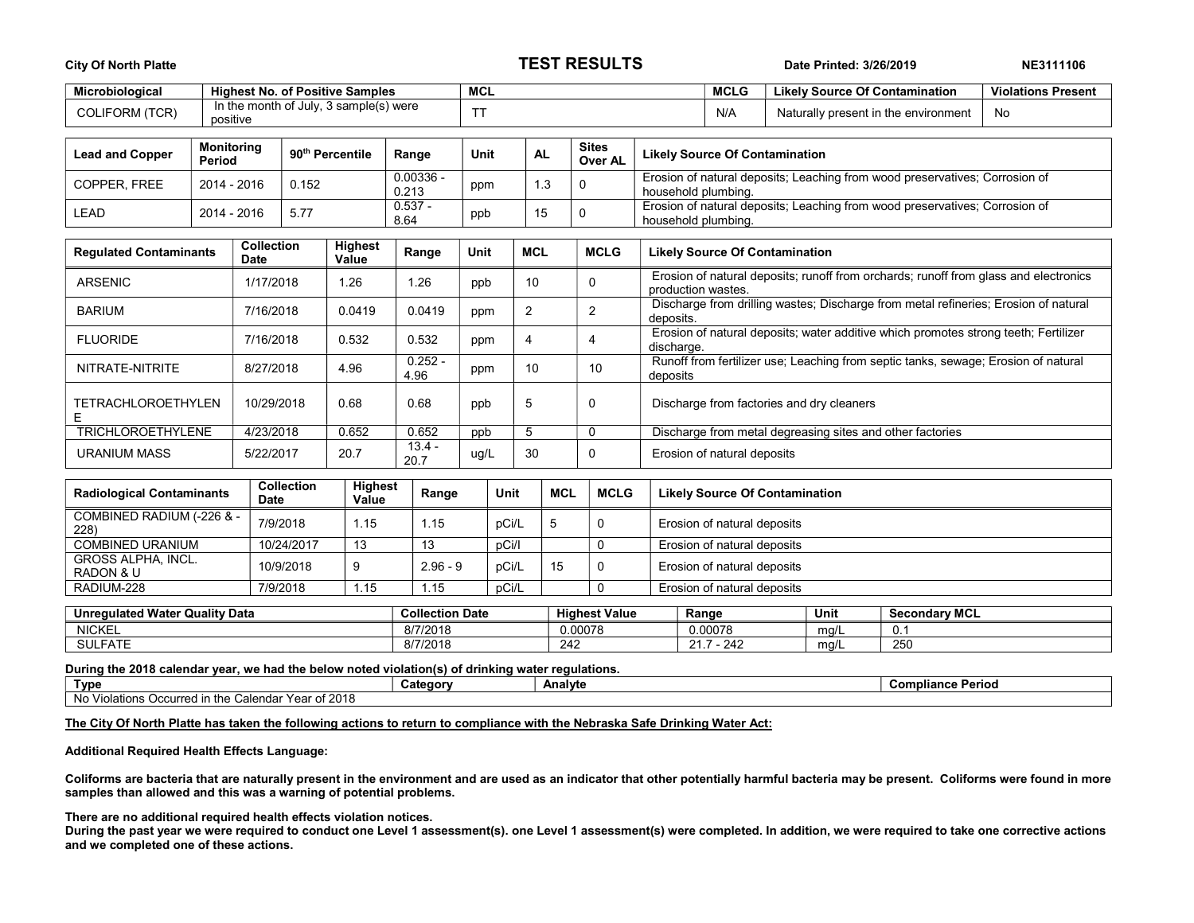| <b>City Of North Platte</b>                                       |                                  |                                        |                                  |                                        | <b>TEST RESULTS</b> |                      |                           |                                      |            |             | Date Printed: 3/26/2019                                                                            | NE3111106                                                                                                  |                                       |                           |  |  |
|-------------------------------------------------------------------|----------------------------------|----------------------------------------|----------------------------------|----------------------------------------|---------------------|----------------------|---------------------------|--------------------------------------|------------|-------------|----------------------------------------------------------------------------------------------------|------------------------------------------------------------------------------------------------------------|---------------------------------------|---------------------------|--|--|
| Microbiological                                                   |                                  | <b>Highest No. of Positive Samples</b> |                                  |                                        |                     |                      | <b>MCL</b><br><b>MCLG</b> |                                      |            |             |                                                                                                    |                                                                                                            | <b>Likely Source Of Contamination</b> | <b>Violations Present</b> |  |  |
| <b>COLIFORM (TCR)</b>                                             |                                  | positive                               |                                  | In the month of July, 3 sample(s) were |                     |                      | <b>TT</b>                 | N/A                                  |            |             |                                                                                                    |                                                                                                            | Naturally present in the environment  | <b>No</b>                 |  |  |
| <b>Lead and Copper</b>                                            | <b>Monitoring</b><br>Period      |                                        |                                  | 90 <sup>th</sup> Percentile            |                     | Range                | <b>Unit</b>               | <b>Sites</b><br><b>AL</b><br>Over AL |            |             |                                                                                                    | <b>Likely Source Of Contamination</b>                                                                      |                                       |                           |  |  |
| COPPER. FREE                                                      |                                  | 2014 - 2016<br>0.152                   |                                  |                                        |                     | $0.00336 -$<br>0.213 | 1.3<br>0<br>ppm           |                                      |            |             | Erosion of natural deposits; Leaching from wood preservatives; Corrosion of<br>household plumbing. |                                                                                                            |                                       |                           |  |  |
| LEAD                                                              | 2014 - 2016<br>5.77              |                                        |                                  | $0.537 -$<br>8.64                      |                     |                      | ppb                       | 15                                   |            | 0           | Erosion of natural deposits; Leaching from wood preservatives; Corrosion of<br>household plumbing. |                                                                                                            |                                       |                           |  |  |
| <b>Collection</b><br><b>Regulated Contaminants</b><br><b>Date</b> |                                  |                                        |                                  | Highest<br>Value                       |                     | Range                | Unit                      | <b>MCL</b>                           |            | <b>MCLG</b> |                                                                                                    | <b>Likely Source Of Contamination</b>                                                                      |                                       |                           |  |  |
| <b>ARSENIC</b>                                                    |                                  |                                        | 1/17/2018                        | 1.26                                   |                     | 1.26                 | ppb                       | 10                                   |            | 0           |                                                                                                    | Erosion of natural deposits; runoff from orchards; runoff from glass and electronics<br>production wastes. |                                       |                           |  |  |
| <b>BARIUM</b>                                                     |                                  | 7/16/2018                              |                                  | 0.0419                                 |                     | 0.0419               | ppm                       | $\overline{2}$<br>$\overline{c}$     |            |             | deposits.                                                                                          | Discharge from drilling wastes; Discharge from metal refineries; Erosion of natural                        |                                       |                           |  |  |
| <b>FLUORIDE</b>                                                   | 7/16/2018                        |                                        |                                  | 0.532                                  |                     | 0.532                | $\overline{4}$<br>ppm     |                                      |            | 4           | discharge.                                                                                         | Erosion of natural deposits; water additive which promotes strong teeth; Fertilizer                        |                                       |                           |  |  |
| NITRATE-NITRITE                                                   |                                  |                                        | 4.96<br>8/27/2018                |                                        |                     | $0.252 -$<br>4.96    | 10<br>ppm                 |                                      |            | 10          | Runoff from fertilizer use; Leaching from septic tanks, sewage; Erosion of natural<br>deposits     |                                                                                                            |                                       |                           |  |  |
| <b>TETRACHLOROETHYLEN</b><br>Ε                                    |                                  |                                        | 0.68<br>10/29/2018               |                                        |                     | 0.68                 | ppb                       |                                      |            | $\Omega$    | Discharge from factories and dry cleaners                                                          |                                                                                                            |                                       |                           |  |  |
| <b>TRICHLOROETHYLENE</b>                                          |                                  |                                        | 4/23/2018                        |                                        | 0.652<br>0.652      |                      | 5<br>ppb                  |                                      |            | $\mathbf 0$ |                                                                                                    | Discharge from metal degreasing sites and other factories                                                  |                                       |                           |  |  |
| <b>URANIUM MASS</b>                                               |                                  |                                        | 20.7<br>5/22/2017                |                                        | $13.4 -$<br>20.7    |                      | ug/L                      | 30                                   |            | 0           |                                                                                                    | Erosion of natural deposits                                                                                |                                       |                           |  |  |
|                                                                   | <b>Radiological Contaminants</b> |                                        | <b>Collection</b><br><b>Date</b> | <b>Highest</b><br>Value                |                     | Range                | Unit                      |                                      | <b>MCL</b> | <b>MCLG</b> |                                                                                                    |                                                                                                            | <b>Likely Source Of Contamination</b> |                           |  |  |
| 228)                                                              | COMBINED RADIUM (-226 & -        |                                        | 7/9/2018                         | 1.15                                   |                     | 1.15                 | pCi/L                     |                                      | 5          | $\mathbf 0$ |                                                                                                    | Erosion of natural deposits                                                                                |                                       |                           |  |  |
|                                                                   | <b>COMBINED URANIUM</b>          |                                        | 10/24/2017                       |                                        | 13<br>13            |                      | pCi/l                     |                                      |            | $\mathbf 0$ |                                                                                                    | Erosion of natural deposits                                                                                |                                       |                           |  |  |
| RADON & U                                                         | <b>GROSS ALPHA. INCL.</b>        |                                        | 10/9/2018<br>9                   |                                        |                     | $2.96 - 9$           |                           | pCi/L                                | 15         | 0           |                                                                                                    | Erosion of natural deposits                                                                                |                                       |                           |  |  |
| RADIUM-228                                                        |                                  |                                        | 7/9/2018                         | 1.15                                   |                     | 1.15                 |                           | pCi/L                                |            | $\mathbf 0$ |                                                                                                    | Erosion of natural deposits                                                                                |                                       |                           |  |  |
|                                                                   |                                  |                                        |                                  |                                        |                     |                      |                           |                                      |            |             |                                                                                                    |                                                                                                            |                                       |                           |  |  |

| <b>Unregulated Water</b><br>r Quality Data | <b>Collection Date</b> | <b>Highest Value</b> | Range    | Unit | <b>Secondary MCL</b> |
|--------------------------------------------|------------------------|----------------------|----------|------|----------------------|
| <b>NICKEL</b>                              | 8/7/2018               | 0.00078              | 0.00078  | mq/  | v.                   |
| <b>SULFATE</b>                             | 8/7/2018               | ິ - 20<br>242        | 242<br>ິ | mg/l | 250                  |

During the 2018 calendar year, we had the below noted violation(s) of drinking water regulations.

| Typ                                                                                            | ⊶categor∪ | <b>Analyte</b> | ` Perioù<br>con |  |  |  |  |  |
|------------------------------------------------------------------------------------------------|-----------|----------------|-----------------|--|--|--|--|--|
| r <b>of 2018</b><br>No.<br>$V \cap T$<br>ılendar<br>the i<br>Occurred<br>Viola<br>tions<br>Gai |           |                |                 |  |  |  |  |  |

The City Of North Platte has taken the following actions to return to compliance with the Nebraska Safe Drinking Water Act:

Additional Required Health Effects Language:

Coliforms are bacteria that are naturally present in the environment and are used as an indicator that other potentially harmful bacteria may be present. Coliforms were found in more samples than allowed and this was a warning of potential problems.

There are no additional required health effects violation notices.

During the past year we were required to conduct one Level 1 assessment(s). one Level 1 assessment(s) were completed. In addition, we were required to take one corrective actions and we completed one of these actions.